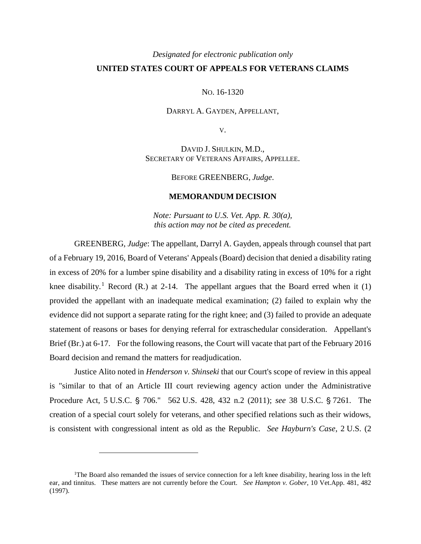## *Designated for electronic publication only* **UNITED STATES COURT OF APPEALS FOR VETERANS CLAIMS**

NO. 16-1320

DARRYL A. GAYDEN, APPELLANT,

V.

DAVID J. SHULKIN, M.D., SECRETARY OF VETERANS AFFAIRS, APPELLEE.

BEFORE GREENBERG, *Judge*.

## **MEMORANDUM DECISION**

*Note: Pursuant to U.S. Vet. App. R. 30(a), this action may not be cited as precedent.*

GREENBERG, *Judge*: The appellant, Darryl A. Gayden, appeals through counsel that part of a February 19, 2016, Board of Veterans' Appeals (Board) decision that denied a disability rating in excess of 20% for a lumber spine disability and a disability rating in excess of 10% for a right knee disability.<sup>1</sup> Record (R.) at 2-14. The appellant argues that the Board erred when it (1) provided the appellant with an inadequate medical examination; (2) failed to explain why the evidence did not support a separate rating for the right knee; and (3) failed to provide an adequate statement of reasons or bases for denying referral for extraschedular consideration. Appellant's Brief (Br.) at 6-17. For the following reasons, the Court will vacate that part of the February 2016 Board decision and remand the matters for readjudication.

Justice Alito noted in *Henderson v. Shinseki* that our Court's scope of review in this appeal is "similar to that of an Article III court reviewing agency action under the Administrative Procedure Act, 5 U.S.C. § 706." 562 U.S. 428, 432 n.2 (2011); see 38 U.S.C. § 7261. The creation of a special court solely for veterans, and other specified relations such as their widows, is consistent with congressional intent as old as the Republic. *See Hayburn's Case*, 2 U.S. (2

 $\overline{a}$ 

<sup>&</sup>lt;sup>1</sup>The Board also remanded the issues of service connection for a left knee disability, hearing loss in the left ear, and tinnitus. These matters are not currently before the Court. *See Hampton v. Gober*, 10 Vet.App. 481, 482 (1997).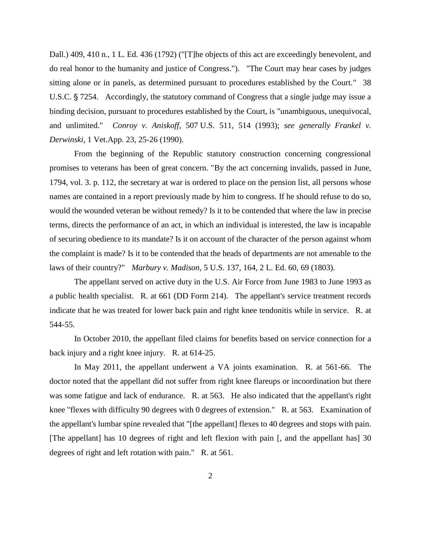Dall.) 409, 410 n., 1 L. Ed. 436 (1792) ("[T]he objects of this act are exceedingly benevolent, and do real honor to the humanity and justice of Congress."). "The Court may hear cases by judges sitting alone or in panels, as determined pursuant to procedures established by the Court." 38 U.S.C. § 7254. Accordingly, the statutory command of Congress that a single judge may issue a binding decision, pursuant to procedures established by the Court, is "unambiguous, unequivocal, and unlimited." *Conroy v. Aniskoff*, 507 U.S. 511, 514 (1993); *see generally Frankel v. Derwinski*, 1 Vet.App. 23, 25-26 (1990).

From the beginning of the Republic statutory construction concerning congressional promises to veterans has been of great concern. "By the act concerning invalids, passed in June, 1794, vol. 3. p. 112, the secretary at war is ordered to place on the pension list, all persons whose names are contained in a report previously made by him to congress. If he should refuse to do so, would the wounded veteran be without remedy? Is it to be contended that where the law in precise terms, directs the performance of an act, in which an individual is interested, the law is incapable of securing obedience to its mandate? Is it on account of the character of the person against whom the complaint is made? Is it to be contended that the heads of departments are not amenable to the laws of their country?" *Marbury v. Madison*, 5 U.S. 137, 164, 2 L. Ed. 60, 69 (1803).

The appellant served on active duty in the U.S. Air Force from June 1983 to June 1993 as a public health specialist. R. at 661 (DD Form 214). The appellant's service treatment records indicate that he was treated for lower back pain and right knee tendonitis while in service. R. at 544-55.

In October 2010, the appellant filed claims for benefits based on service connection for a back injury and a right knee injury. R. at 614-25.

In May 2011, the appellant underwent a VA joints examination. R. at 561-66. The doctor noted that the appellant did not suffer from right knee flareups or incoordination but there was some fatigue and lack of endurance. R. at 563. He also indicated that the appellant's right knee "flexes with difficulty 90 degrees with 0 degrees of extension." R. at 563. Examination of the appellant's lumbar spine revealed that "[the appellant] flexes to 40 degrees and stops with pain. [The appellant] has 10 degrees of right and left flexion with pain [, and the appellant has] 30 degrees of right and left rotation with pain." R. at 561.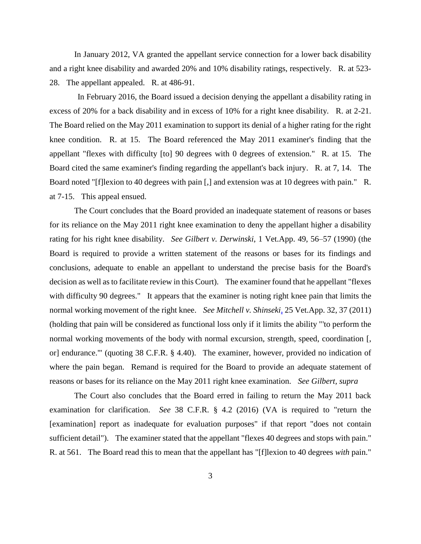In January 2012, VA granted the appellant service connection for a lower back disability and a right knee disability and awarded 20% and 10% disability ratings, respectively. R. at 523- 28. The appellant appealed. R. at 486-91.

In February 2016, the Board issued a decision denying the appellant a disability rating in excess of 20% for a back disability and in excess of 10% for a right knee disability. R. at 2-21. The Board relied on the May 2011 examination to support its denial of a higher rating for the right knee condition. R. at 15. The Board referenced the May 2011 examiner's finding that the appellant "flexes with difficulty [to] 90 degrees with 0 degrees of extension." R. at 15. The Board cited the same examiner's finding regarding the appellant's back injury. R. at 7, 14. The Board noted "[f]lexion to 40 degrees with pain [,] and extension was at 10 degrees with pain." R. at 7-15. This appeal ensued.

The Court concludes that the Board provided an inadequate statement of reasons or bases for its reliance on the May 2011 right knee examination to deny the appellant higher a disability rating for his right knee disability. *See Gilbert v. Derwinski*, 1 Vet.App. 49, 56–57 (1990) (the Board is required to provide a written statement of the reasons or bases for its findings and conclusions, adequate to enable an appellant to understand the precise basis for the Board's decision as well as to facilitate review in this Court). The examiner found that he appellant "flexes with difficulty 90 degrees." It appears that the examiner is noting right knee pain that limits the normal working movement of the right knee. *See Mitchell v. Shinseki,* 25 Vet.App. 32, 37 (2011) (holding that pain will be considered as functional loss only if it limits the ability "'to perform the normal working movements of the body with normal excursion, strength, speed, coordination [, or] endurance.'" (quoting 38 C.F.R. § 4.40). The examiner, however, provided no indication of where the pain began. Remand is required for the Board to provide an adequate statement of reasons or bases for its reliance on the May 2011 right knee examination. *See Gilbert, supra*

The Court also concludes that the Board erred in failing to return the May 2011 back examination for clarification. *See* 38 C.F.R. § 4.2 (2016) (VA is required to "return the [examination] report as inadequate for evaluation purposes" if that report "does not contain sufficient detail"). The examiner stated that the appellant "flexes 40 degrees and stops with pain." R. at 561. The Board read this to mean that the appellant has "[f]lexion to 40 degrees *with* pain."